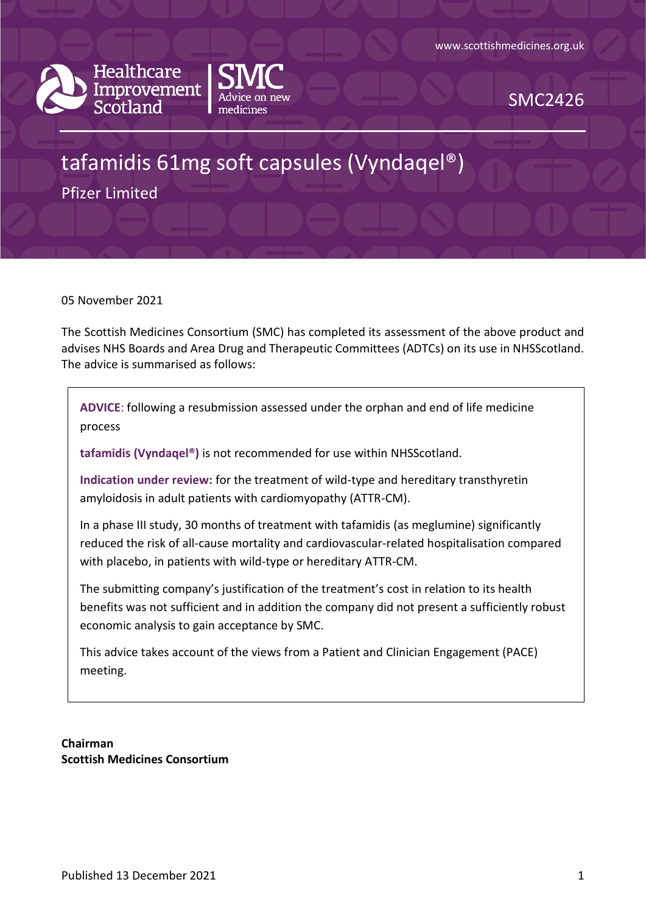



SMC2426

# tafamidis 61mg soft capsules (Vyndaqel®)

Pfizer Limited

05 November 2021

The Scottish Medicines Consortium (SMC) has completed its assessment of the above product and advises NHS Boards and Area Drug and Therapeutic Committees (ADTCs) on its use in NHSScotland. The advice is summarised as follows:

**ADVICE**: following a resubmission assessed under the orphan and end of life medicine process

**tafamidis (Vyndaqel®)** is not recommended for use within NHSScotland.

**Indication under review:** for the treatment of wild-type and hereditary transthyretin amyloidosis in adult patients with cardiomyopathy (ATTR-CM).

In a phase III study, 30 months of treatment with tafamidis (as meglumine) significantly reduced the risk of all-cause mortality and cardiovascular-related hospitalisation compared with placebo, in patients with wild-type or hereditary ATTR-CM.

The submitting company's justification of the treatment's cost in relation to its health benefits was not sufficient and in addition the company did not present a sufficiently robust economic analysis to gain acceptance by SMC.

This advice takes account of the views from a Patient and Clinician Engagement (PACE) meeting.

**Chairman Scottish Medicines Consortium**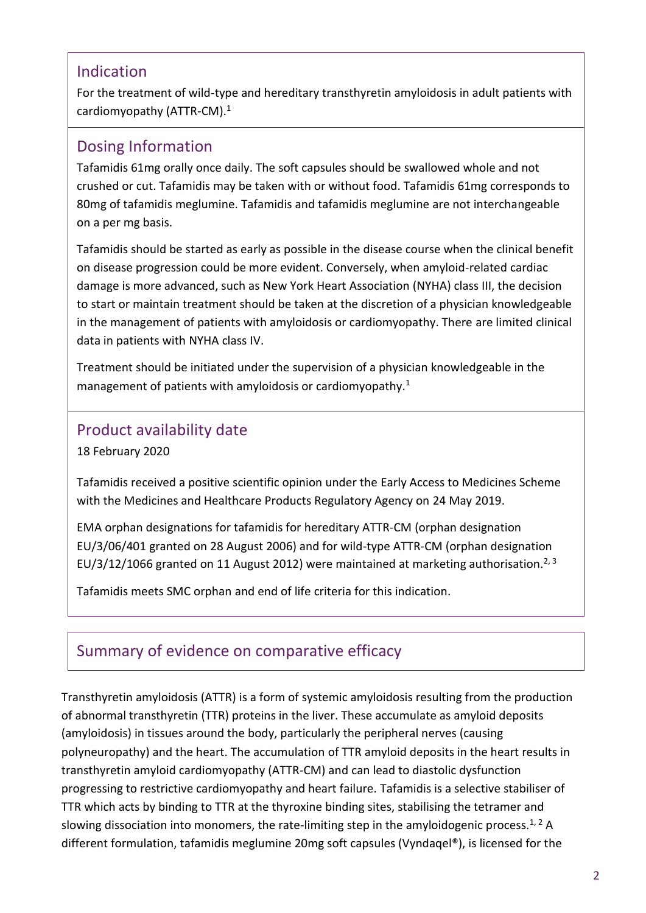### Indication

For the treatment of wild-type and hereditary transthyretin amyloidosis in adult patients with cardiomyopathy (ATTR-CM).<sup>1</sup>

### Dosing Information

Tafamidis 61mg orally once daily. The soft capsules should be swallowed whole and not crushed or cut. Tafamidis may be taken with or without food. Tafamidis 61mg corresponds to 80mg of tafamidis meglumine. Tafamidis and tafamidis meglumine are not interchangeable on a per mg basis.

Tafamidis should be started as early as possible in the disease course when the clinical benefit on disease progression could be more evident. Conversely, when amyloid-related cardiac damage is more advanced, such as New York Heart Association (NYHA) class III, the decision to start or maintain treatment should be taken at the discretion of a physician knowledgeable in the management of patients with amyloidosis or cardiomyopathy. There are limited clinical data in patients with NYHA class IV.

Treatment should be initiated under the supervision of a physician knowledgeable in the management of patients with amyloidosis or cardiomyopathy.<sup>1</sup>

### Product availability date

18 February 2020

Tafamidis received a positive scientific opinion under the Early Access to Medicines Scheme with the Medicines and Healthcare Products Regulatory Agency on 24 May 2019.

EMA orphan designations for tafamidis for hereditary ATTR-CM (orphan designation EU/3/06/401 granted on 28 August 2006) and for wild-type ATTR-CM (orphan designation EU/3/12/1066 granted on 11 August 2012) were maintained at marketing authorisation.<sup>2, 3</sup>

Tafamidis meets SMC orphan and end of life criteria for this indication.

# Summary of evidence on comparative efficacy

Transthyretin amyloidosis (ATTR) is a form of systemic amyloidosis resulting from the production of abnormal transthyretin (TTR) proteins in the liver. These accumulate as amyloid deposits (amyloidosis) in tissues around the body, particularly the peripheral nerves (causing polyneuropathy) and the heart. The accumulation of TTR amyloid deposits in the heart results in transthyretin amyloid cardiomyopathy (ATTR-CM) and can lead to diastolic dysfunction progressing to restrictive cardiomyopathy and heart failure. Tafamidis is a selective stabiliser of TTR which acts by binding to TTR at the thyroxine binding sites, stabilising the tetramer and slowing dissociation into monomers, the rate-limiting step in the amyloidogenic process.<sup>1, 2</sup> A different formulation, tafamidis meglumine 20mg soft capsules (Vyndaqel®), is licensed for the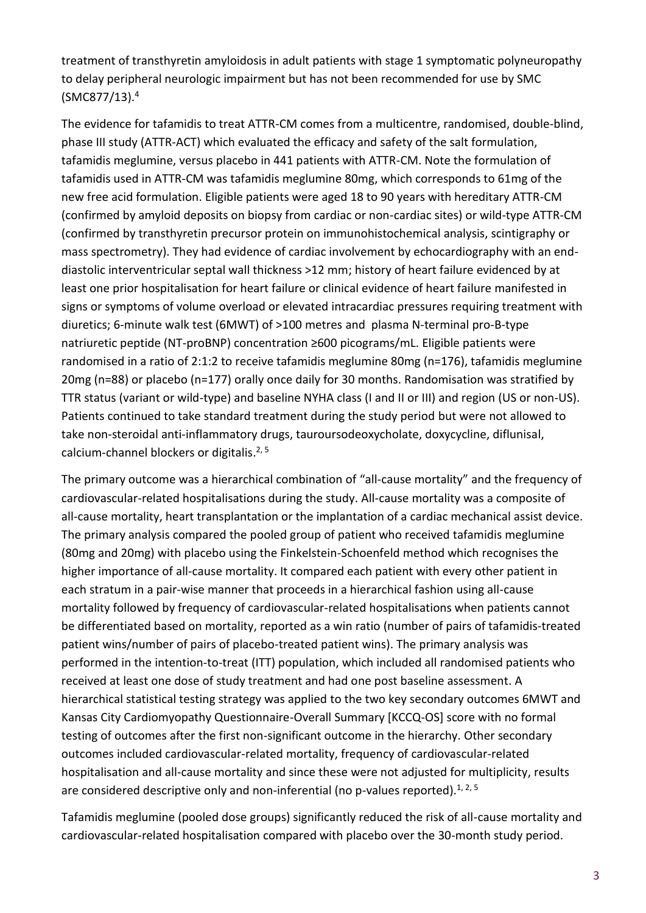treatment of transthyretin amyloidosis in adult patients with stage 1 symptomatic polyneuropathy to delay peripheral neurologic impairment but has not been recommended for use by SMC (SMC877/13). 4

The evidence for tafamidis to treat ATTR-CM comes from a multicentre, randomised, double-blind, phase III study (ATTR-ACT) which evaluated the efficacy and safety of the salt formulation, tafamidis meglumine, versus placebo in 441 patients with ATTR-CM. Note the formulation of tafamidis used in ATTR-CM was tafamidis meglumine 80mg, which corresponds to 61mg of the new free acid formulation. Eligible patients were aged 18 to 90 years with hereditary ATTR-CM (confirmed by amyloid deposits on biopsy from cardiac or non-cardiac sites) or wild-type ATTR-CM (confirmed by transthyretin precursor protein on immunohistochemical analysis, scintigraphy or mass spectrometry). They had evidence of cardiac involvement by echocardiography with an enddiastolic interventricular septal wall thickness >12 mm; history of heart failure evidenced by at least one prior hospitalisation for heart failure or clinical evidence of heart failure manifested in signs or symptoms of volume overload or elevated intracardiac pressures requiring treatment with diuretics; 6-minute walk test (6MWT) of >100 metres and plasma N-terminal pro-B-type natriuretic peptide (NT-proBNP) concentration ≥600 picograms/mL. Eligible patients were randomised in a ratio of 2:1:2 to receive tafamidis meglumine 80mg (n=176), tafamidis meglumine 20mg (n=88) or placebo (n=177) orally once daily for 30 months. Randomisation was stratified by TTR status (variant or wild-type) and baseline NYHA class (I and II or III) and region (US or non-US). Patients continued to take standard treatment during the study period but were not allowed to take non-steroidal anti-inflammatory drugs, tauroursodeoxycholate, doxycycline, diflunisal, calcium-channel blockers or digitalis.<sup>2, 5</sup>

The primary outcome was a hierarchical combination of "all-cause mortality" and the frequency of cardiovascular-related hospitalisations during the study. All-cause mortality was a composite of all-cause mortality, heart transplantation or the implantation of a cardiac mechanical assist device. The primary analysis compared the pooled group of patient who received tafamidis meglumine (80mg and 20mg) with placebo using the Finkelstein-Schoenfeld method which recognises the higher importance of all-cause mortality. It compared each patient with every other patient in each stratum in a pair-wise manner that proceeds in a hierarchical fashion using all-cause mortality followed by frequency of cardiovascular-related hospitalisations when patients cannot be differentiated based on mortality, reported as a win ratio (number of pairs of tafamidis-treated patient wins/number of pairs of placebo-treated patient wins). The primary analysis was performed in the intention-to-treat (ITT) population, which included all randomised patients who received at least one dose of study treatment and had one post baseline assessment. A hierarchical statistical testing strategy was applied to the two key secondary outcomes 6MWT and Kansas City Cardiomyopathy Questionnaire-Overall Summary [KCCQ-OS] score with no formal testing of outcomes after the first non-significant outcome in the hierarchy. Other secondary outcomes included cardiovascular-related mortality, frequency of cardiovascular-related hospitalisation and all-cause mortality and since these were not adjusted for multiplicity, results are considered descriptive only and non-inferential (no p-values reported).<sup>1, 2, 5</sup>

Tafamidis meglumine (pooled dose groups) significantly reduced the risk of all-cause mortality and cardiovascular-related hospitalisation compared with placebo over the 30-month study period.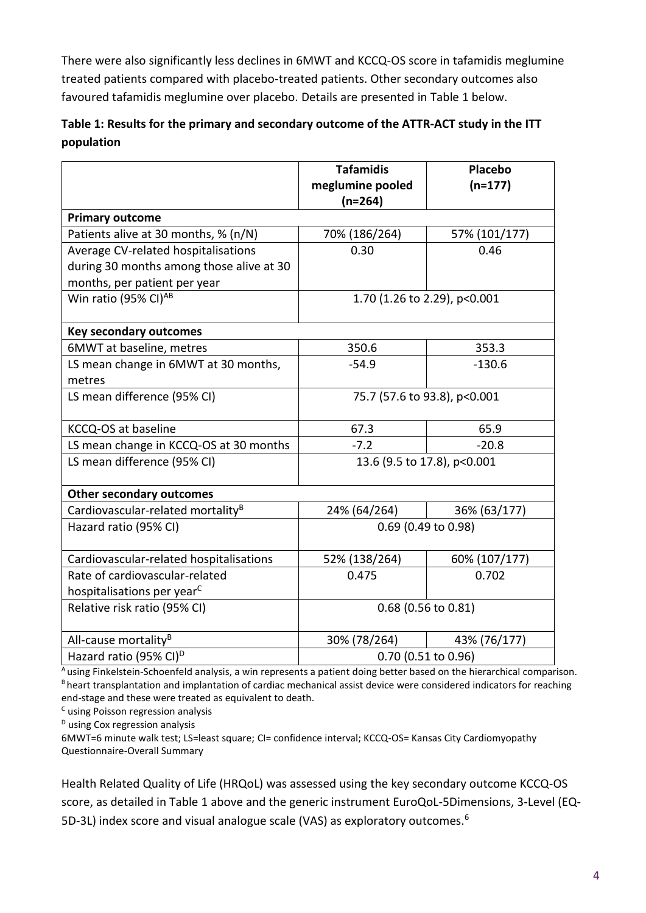There were also significantly less declines in 6MWT and KCCQ-OS score in tafamidis meglumine treated patients compared with placebo-treated patients. Other secondary outcomes also favoured tafamidis meglumine over placebo. Details are presented in Table 1 below.

| Table 1: Results for the primary and secondary outcome of the ATTR-ACT study in the ITT |  |
|-----------------------------------------------------------------------------------------|--|
| population                                                                              |  |

|                                               | <b>Tafamidis</b><br>meglumine pooled<br>$(n=264)$ | Placebo<br>$(n=177)$ |  |  |
|-----------------------------------------------|---------------------------------------------------|----------------------|--|--|
| <b>Primary outcome</b>                        |                                                   |                      |  |  |
| Patients alive at 30 months, % (n/N)          | 70% (186/264)                                     | 57% (101/177)        |  |  |
| Average CV-related hospitalisations           | 0.30                                              | 0.46                 |  |  |
| during 30 months among those alive at 30      |                                                   |                      |  |  |
| months, per patient per year                  |                                                   |                      |  |  |
| Win ratio (95% CI) <sup>AB</sup>              | 1.70 (1.26 to 2.29), p<0.001                      |                      |  |  |
| <b>Key secondary outcomes</b>                 |                                                   |                      |  |  |
| 6MWT at baseline, metres                      | 350.6                                             | 353.3                |  |  |
| LS mean change in 6MWT at 30 months,          | $-54.9$                                           | $-130.6$             |  |  |
| metres                                        |                                                   |                      |  |  |
| LS mean difference (95% CI)                   | 75.7 (57.6 to 93.8), p<0.001                      |                      |  |  |
| KCCQ-OS at baseline                           | 67.3                                              | 65.9                 |  |  |
| LS mean change in KCCQ-OS at 30 months        | $-7.2$                                            | $-20.8$              |  |  |
| LS mean difference (95% CI)                   | 13.6 (9.5 to 17.8), p<0.001                       |                      |  |  |
| <b>Other secondary outcomes</b>               |                                                   |                      |  |  |
| Cardiovascular-related mortality <sup>B</sup> | 24% (64/264)                                      | 36% (63/177)         |  |  |
| Hazard ratio (95% CI)                         | 0.69 (0.49 to 0.98)                               |                      |  |  |
| Cardiovascular-related hospitalisations       | 52% (138/264)                                     | 60% (107/177)        |  |  |
| Rate of cardiovascular-related                | 0.475                                             | 0.702                |  |  |
| hospitalisations per year <sup>C</sup>        |                                                   |                      |  |  |
| Relative risk ratio (95% CI)                  | $0.68$ (0.56 to 0.81)                             |                      |  |  |
| All-cause mortality <sup>B</sup>              | 30% (78/264)                                      | 43% (76/177)         |  |  |
| Hazard ratio (95% CI) <sup>D</sup>            | 0.70 (0.51 to 0.96)                               |                      |  |  |

A using Finkelstein-Schoenfeld analysis, a win represents a patient doing better based on the hierarchical comparison. B heart transplantation and implantation of cardiac mechanical assist device were considered indicators for reaching end-stage and these were treated as equivalent to death.

 $c$  using Poisson regression analysis

 $D$  using Cox regression analysis

6MWT=6 minute walk test; LS=least square; CI= confidence interval; KCCQ-OS= Kansas City Cardiomyopathy Questionnaire-Overall Summary

Health Related Quality of Life (HRQoL) was assessed using the key secondary outcome KCCQ-OS score, as detailed in Table 1 above and the generic instrument EuroQoL-5Dimensions, 3-Level (EQ-5D-3L) index score and visual analogue scale (VAS) as exploratory outcomes.<sup>6</sup>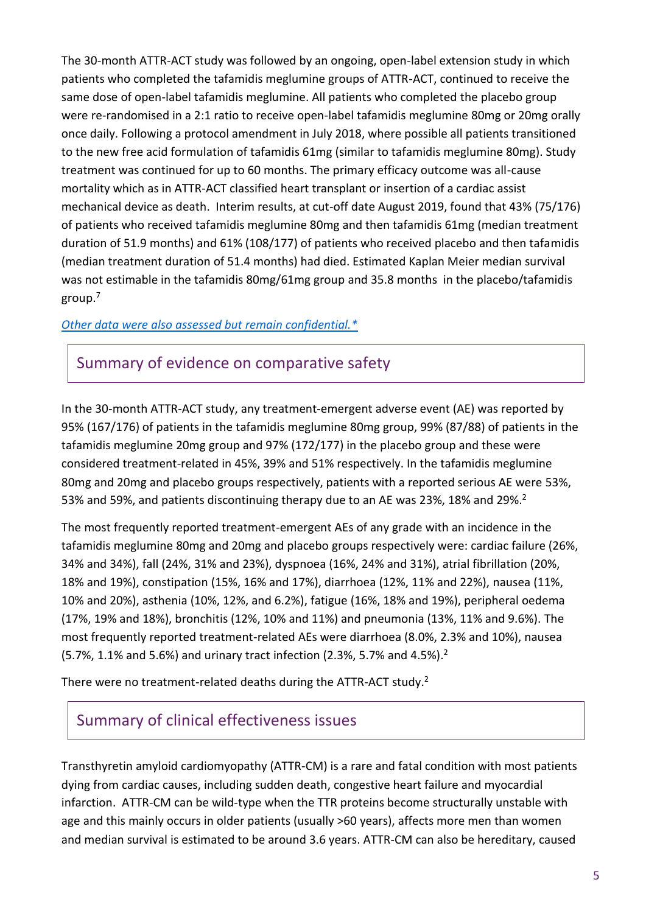The 30-month ATTR-ACT study was followed by an ongoing, open-label extension study in which patients who completed the tafamidis meglumine groups of ATTR-ACT, continued to receive the same dose of open-label tafamidis meglumine. All patients who completed the placebo group were re-randomised in a 2:1 ratio to receive open-label tafamidis meglumine 80mg or 20mg orally once daily. Following a protocol amendment in July 2018, where possible all patients transitioned to the new free acid formulation of tafamidis 61mg (similar to tafamidis meglumine 80mg). Study treatment was continued for up to 60 months. The primary efficacy outcome was all-cause mortality which as in ATTR-ACT classified heart transplant or insertion of a cardiac assist mechanical device as death. Interim results, at cut-off date August 2019, found that 43% (75/176) of patients who received tafamidis meglumine 80mg and then tafamidis 61mg (median treatment duration of 51.9 months) and 61% (108/177) of patients who received placebo and then tafamidis (median treatment duration of 51.4 months) had died. Estimated Kaplan Meier median survival was not estimable in the tafamidis 80mg/61mg group and 35.8 months in the placebo/tafamidis group.<sup>7</sup>

#### *[Other data were also assessed but remain confidential.\\*](https://www.scottishmedicines.org.uk/media/3572/20180710-release-of-company-data.pdf)*

### Summary of evidence on comparative safety

In the 30-month ATTR-ACT study, any treatment-emergent adverse event (AE) was reported by 95% (167/176) of patients in the tafamidis meglumine 80mg group, 99% (87/88) of patients in the tafamidis meglumine 20mg group and 97% (172/177) in the placebo group and these were considered treatment-related in 45%, 39% and 51% respectively. In the tafamidis meglumine 80mg and 20mg and placebo groups respectively, patients with a reported serious AE were 53%, 53% and 59%, and patients discontinuing therapy due to an AE was 23%, 18% and 29%.<sup>2</sup>

The most frequently reported treatment-emergent AEs of any grade with an incidence in the tafamidis meglumine 80mg and 20mg and placebo groups respectively were: cardiac failure (26%, 34% and 34%), fall (24%, 31% and 23%), dyspnoea (16%, 24% and 31%), atrial fibrillation (20%, 18% and 19%), constipation (15%, 16% and 17%), diarrhoea (12%, 11% and 22%), nausea (11%, 10% and 20%), asthenia (10%, 12%, and 6.2%), fatigue (16%, 18% and 19%), peripheral oedema (17%, 19% and 18%), bronchitis (12%, 10% and 11%) and pneumonia (13%, 11% and 9.6%). The most frequently reported treatment-related AEs were diarrhoea (8.0%, 2.3% and 10%), nausea (5.7%, 1.1% and 5.6%) and urinary tract infection (2.3%, 5.7% and 4.5%). 2

There were no treatment-related deaths during the ATTR-ACT study.<sup>2</sup>

### Summary of clinical effectiveness issues

Transthyretin amyloid cardiomyopathy (ATTR-CM) is a rare and fatal condition with most patients dying from cardiac causes, including sudden death, congestive heart failure and myocardial infarction. ATTR-CM can be wild-type when the TTR proteins become structurally unstable with age and this mainly occurs in older patients (usually >60 years), affects more men than women and median survival is estimated to be around 3.6 years. ATTR-CM can also be hereditary, caused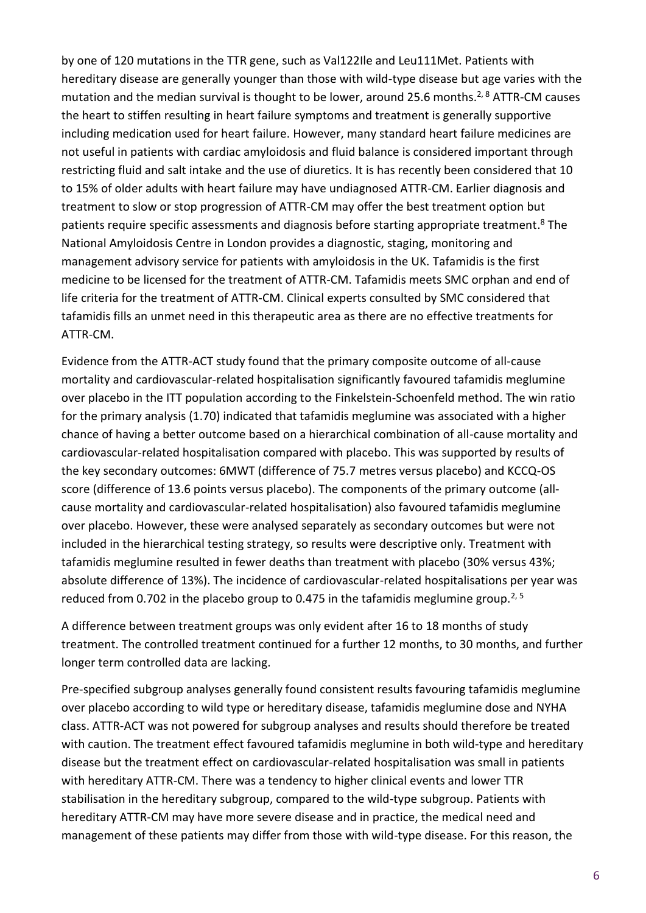by one of 120 mutations in the TTR gene, such as Val122Ile and Leu111Met. Patients with hereditary disease are generally younger than those with wild-type disease but age varies with the mutation and the median survival is thought to be lower, around 25.6 months.<sup>2, 8</sup> ATTR-CM causes the heart to stiffen resulting in heart failure symptoms and treatment is generally supportive including medication used for heart failure. However, many standard heart failure medicines are not useful in patients with cardiac amyloidosis and fluid balance is considered important through restricting fluid and salt intake and the use of diuretics. It is has recently been considered that 10 to 15% of older adults with heart failure may have undiagnosed ATTR-CM. Earlier diagnosis and treatment to slow or stop progression of ATTR-CM may offer the best treatment option but patients require specific assessments and diagnosis before starting appropriate treatment.<sup>8</sup> The National Amyloidosis Centre in London provides a diagnostic, staging, monitoring and management advisory service for patients with amyloidosis in the UK. Tafamidis is the first medicine to be licensed for the treatment of ATTR-CM. Tafamidis meets SMC orphan and end of life criteria for the treatment of ATTR-CM. Clinical experts consulted by SMC considered that tafamidis fills an unmet need in this therapeutic area as there are no effective treatments for ATTR-CM.

Evidence from the ATTR-ACT study found that the primary composite outcome of all-cause mortality and cardiovascular-related hospitalisation significantly favoured tafamidis meglumine over placebo in the ITT population according to the Finkelstein-Schoenfeld method. The win ratio for the primary analysis (1.70) indicated that tafamidis meglumine was associated with a higher chance of having a better outcome based on a hierarchical combination of all-cause mortality and cardiovascular-related hospitalisation compared with placebo. This was supported by results of the key secondary outcomes: 6MWT (difference of 75.7 metres versus placebo) and KCCQ-OS score (difference of 13.6 points versus placebo). The components of the primary outcome (allcause mortality and cardiovascular-related hospitalisation) also favoured tafamidis meglumine over placebo. However, these were analysed separately as secondary outcomes but were not included in the hierarchical testing strategy, so results were descriptive only. Treatment with tafamidis meglumine resulted in fewer deaths than treatment with placebo (30% versus 43%; absolute difference of 13%). The incidence of cardiovascular-related hospitalisations per year was reduced from 0.702 in the placebo group to 0.475 in the tafamidis meglumine group.<sup>2, 5</sup>

A difference between treatment groups was only evident after 16 to 18 months of study treatment. The controlled treatment continued for a further 12 months, to 30 months, and further longer term controlled data are lacking.

Pre-specified subgroup analyses generally found consistent results favouring tafamidis meglumine over placebo according to wild type or hereditary disease, tafamidis meglumine dose and NYHA class. ATTR-ACT was not powered for subgroup analyses and results should therefore be treated with caution. The treatment effect favoured tafamidis meglumine in both wild-type and hereditary disease but the treatment effect on cardiovascular-related hospitalisation was small in patients with hereditary ATTR-CM. There was a tendency to higher clinical events and lower TTR stabilisation in the hereditary subgroup, compared to the wild-type subgroup. Patients with hereditary ATTR-CM may have more severe disease and in practice, the medical need and management of these patients may differ from those with wild-type disease. For this reason, the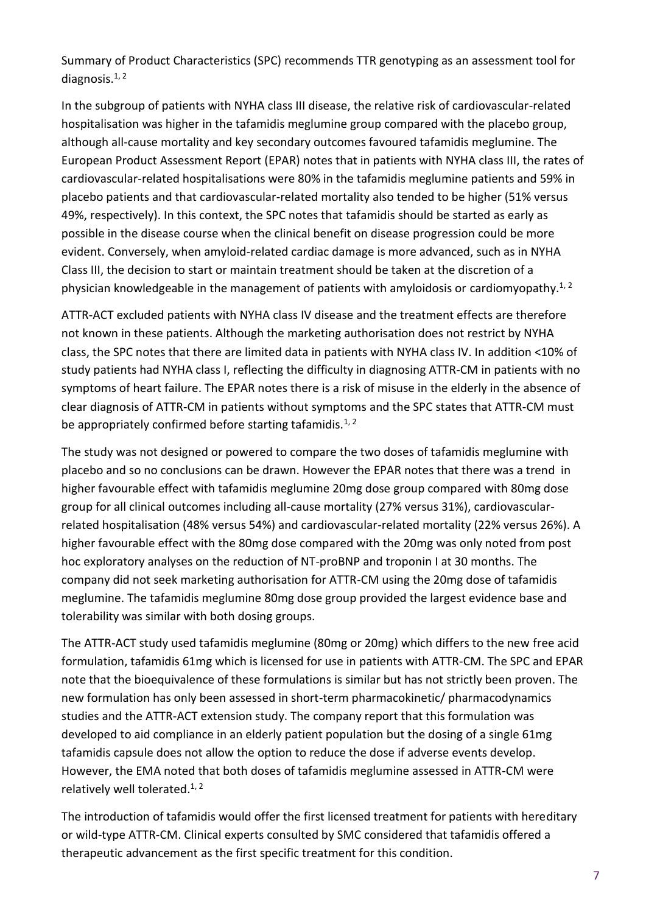Summary of Product Characteristics (SPC) recommends TTR genotyping as an assessment tool for diagnosis. $1, 2$ 

In the subgroup of patients with NYHA class III disease, the relative risk of cardiovascular-related hospitalisation was higher in the tafamidis meglumine group compared with the placebo group, although all-cause mortality and key secondary outcomes favoured tafamidis meglumine. The European Product Assessment Report (EPAR) notes that in patients with NYHA class III, the rates of cardiovascular-related hospitalisations were 80% in the tafamidis meglumine patients and 59% in placebo patients and that cardiovascular-related mortality also tended to be higher (51% versus 49%, respectively). In this context, the SPC notes that tafamidis should be started as early as possible in the disease course when the clinical benefit on disease progression could be more evident. Conversely, when amyloid-related cardiac damage is more advanced, such as in NYHA Class III, the decision to start or maintain treatment should be taken at the discretion of a physician knowledgeable in the management of patients with amyloidosis or cardiomyopathy.<sup>1, 2</sup>

ATTR-ACT excluded patients with NYHA class IV disease and the treatment effects are therefore not known in these patients. Although the marketing authorisation does not restrict by NYHA class, the SPC notes that there are limited data in patients with NYHA class IV. In addition <10% of study patients had NYHA class I, reflecting the difficulty in diagnosing ATTR-CM in patients with no symptoms of heart failure. The EPAR notes there is a risk of misuse in the elderly in the absence of clear diagnosis of ATTR-CM in patients without symptoms and the SPC states that ATTR-CM must be appropriately confirmed before starting tafamidis.<sup>1, 2</sup>

The study was not designed or powered to compare the two doses of tafamidis meglumine with placebo and so no conclusions can be drawn. However the EPAR notes that there was a trend in higher favourable effect with tafamidis meglumine 20mg dose group compared with 80mg dose group for all clinical outcomes including all-cause mortality (27% versus 31%), cardiovascularrelated hospitalisation (48% versus 54%) and cardiovascular-related mortality (22% versus 26%). A higher favourable effect with the 80mg dose compared with the 20mg was only noted from post hoc exploratory analyses on the reduction of NT-proBNP and troponin I at 30 months. The company did not seek marketing authorisation for ATTR-CM using the 20mg dose of tafamidis meglumine. The tafamidis meglumine 80mg dose group provided the largest evidence base and tolerability was similar with both dosing groups.

The ATTR-ACT study used tafamidis meglumine (80mg or 20mg) which differs to the new free acid formulation, tafamidis 61mg which is licensed for use in patients with ATTR-CM. The SPC and EPAR note that the bioequivalence of these formulations is similar but has not strictly been proven. The new formulation has only been assessed in short-term pharmacokinetic/ pharmacodynamics studies and the ATTR-ACT extension study. The company report that this formulation was developed to aid compliance in an elderly patient population but the dosing of a single 61mg tafamidis capsule does not allow the option to reduce the dose if adverse events develop. However, the EMA noted that both doses of tafamidis meglumine assessed in ATTR-CM were relatively well tolerated.<sup>1, 2</sup>

The introduction of tafamidis would offer the first licensed treatment for patients with hereditary or wild-type ATTR-CM. Clinical experts consulted by SMC considered that tafamidis offered a therapeutic advancement as the first specific treatment for this condition.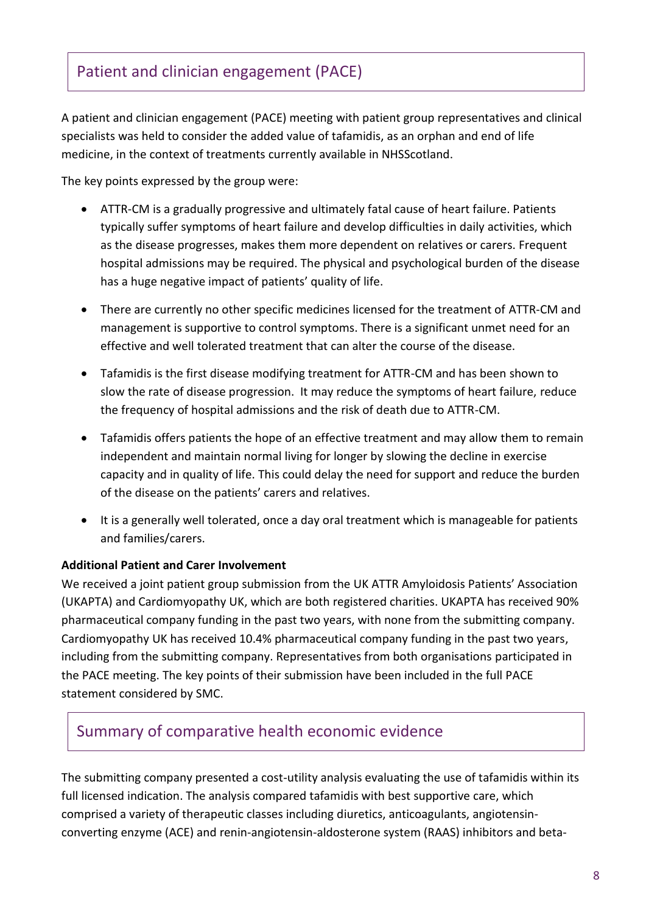# Patient and clinician engagement (PACE)

A patient and clinician engagement (PACE) meeting with patient group representatives and clinical specialists was held to consider the added value of tafamidis, as an orphan and end of life medicine, in the context of treatments currently available in NHSScotland.

The key points expressed by the group were:

- ATTR-CM is a gradually progressive and ultimately fatal cause of heart failure. Patients typically suffer symptoms of heart failure and develop difficulties in daily activities, which as the disease progresses, makes them more dependent on relatives or carers. Frequent hospital admissions may be required. The physical and psychological burden of the disease has a huge negative impact of patients' quality of life.
- There are currently no other specific medicines licensed for the treatment of ATTR-CM and management is supportive to control symptoms. There is a significant unmet need for an effective and well tolerated treatment that can alter the course of the disease.
- Tafamidis is the first disease modifying treatment for ATTR-CM and has been shown to slow the rate of disease progression. It may reduce the symptoms of heart failure, reduce the frequency of hospital admissions and the risk of death due to ATTR-CM.
- Tafamidis offers patients the hope of an effective treatment and may allow them to remain independent and maintain normal living for longer by slowing the decline in exercise capacity and in quality of life. This could delay the need for support and reduce the burden of the disease on the patients' carers and relatives.
- It is a generally well tolerated, once a day oral treatment which is manageable for patients and families/carers.

#### **Additional Patient and Carer Involvement**

We received a joint patient group submission from the UK ATTR Amyloidosis Patients' Association (UKAPTA) and Cardiomyopathy UK, which are both registered charities. UKAPTA has received 90% pharmaceutical company funding in the past two years, with none from the submitting company. Cardiomyopathy UK has received 10.4% pharmaceutical company funding in the past two years, including from the submitting company. Representatives from both organisations participated in the PACE meeting. The key points of their submission have been included in the full PACE statement considered by SMC.

### Summary of comparative health economic evidence

The submitting company presented a cost-utility analysis evaluating the use of tafamidis within its full licensed indication. The analysis compared tafamidis with best supportive care, which comprised a variety of therapeutic classes including diuretics, anticoagulants, angiotensinconverting enzyme (ACE) and renin-angiotensin-aldosterone system (RAAS) inhibitors and beta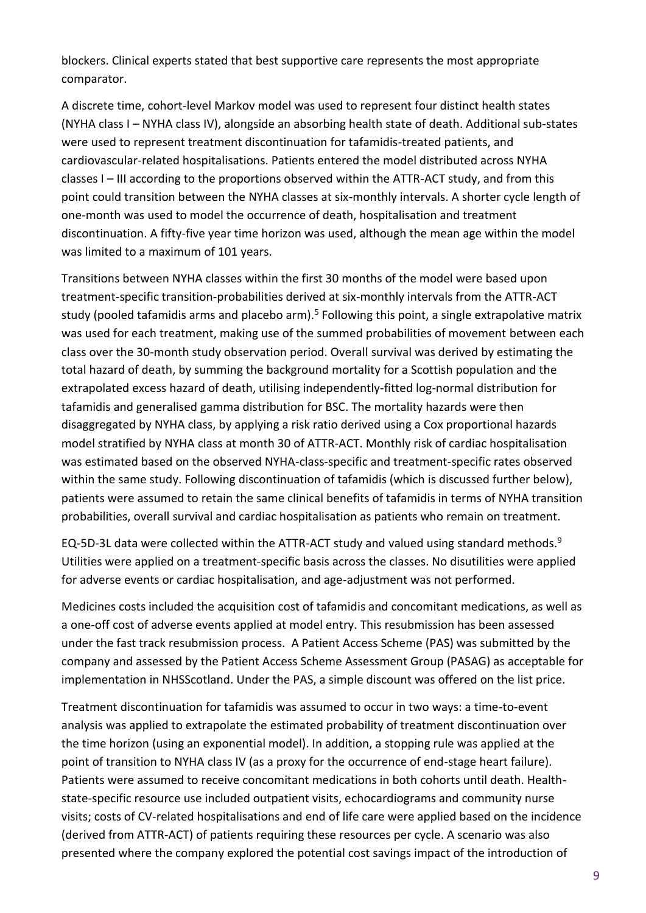blockers. Clinical experts stated that best supportive care represents the most appropriate comparator.

A discrete time, cohort-level Markov model was used to represent four distinct health states (NYHA class I – NYHA class IV), alongside an absorbing health state of death. Additional sub-states were used to represent treatment discontinuation for tafamidis-treated patients, and cardiovascular-related hospitalisations. Patients entered the model distributed across NYHA classes I – III according to the proportions observed within the ATTR-ACT study, and from this point could transition between the NYHA classes at six-monthly intervals. A shorter cycle length of one-month was used to model the occurrence of death, hospitalisation and treatment discontinuation. A fifty-five year time horizon was used, although the mean age within the model was limited to a maximum of 101 years.

Transitions between NYHA classes within the first 30 months of the model were based upon treatment-specific transition-probabilities derived at six-monthly intervals from the ATTR-ACT study (pooled tafamidis arms and placebo arm).<sup>5</sup> Following this point, a single extrapolative matrix was used for each treatment, making use of the summed probabilities of movement between each class over the 30-month study observation period. Overall survival was derived by estimating the total hazard of death, by summing the background mortality for a Scottish population and the extrapolated excess hazard of death, utilising independently-fitted log-normal distribution for tafamidis and generalised gamma distribution for BSC. The mortality hazards were then disaggregated by NYHA class, by applying a risk ratio derived using a Cox proportional hazards model stratified by NYHA class at month 30 of ATTR-ACT. Monthly risk of cardiac hospitalisation was estimated based on the observed NYHA-class-specific and treatment-specific rates observed within the same study. Following discontinuation of tafamidis (which is discussed further below), patients were assumed to retain the same clinical benefits of tafamidis in terms of NYHA transition probabilities, overall survival and cardiac hospitalisation as patients who remain on treatment.

EQ-5D-3L data were collected within the ATTR-ACT study and valued using standard methods.<sup>9</sup> Utilities were applied on a treatment-specific basis across the classes. No disutilities were applied for adverse events or cardiac hospitalisation, and age-adjustment was not performed.

Medicines costs included the acquisition cost of tafamidis and concomitant medications, as well as a one-off cost of adverse events applied at model entry. This resubmission has been assessed under the fast track resubmission process. A Patient Access Scheme (PAS) was submitted by the company and assessed by the Patient Access Scheme Assessment Group (PASAG) as acceptable for implementation in NHSScotland. Under the PAS, a simple discount was offered on the list price.

Treatment discontinuation for tafamidis was assumed to occur in two ways: a time-to-event analysis was applied to extrapolate the estimated probability of treatment discontinuation over the time horizon (using an exponential model). In addition, a stopping rule was applied at the point of transition to NYHA class IV (as a proxy for the occurrence of end-stage heart failure). Patients were assumed to receive concomitant medications in both cohorts until death. Healthstate-specific resource use included outpatient visits, echocardiograms and community nurse visits; costs of CV-related hospitalisations and end of life care were applied based on the incidence (derived from ATTR-ACT) of patients requiring these resources per cycle. A scenario was also presented where the company explored the potential cost savings impact of the introduction of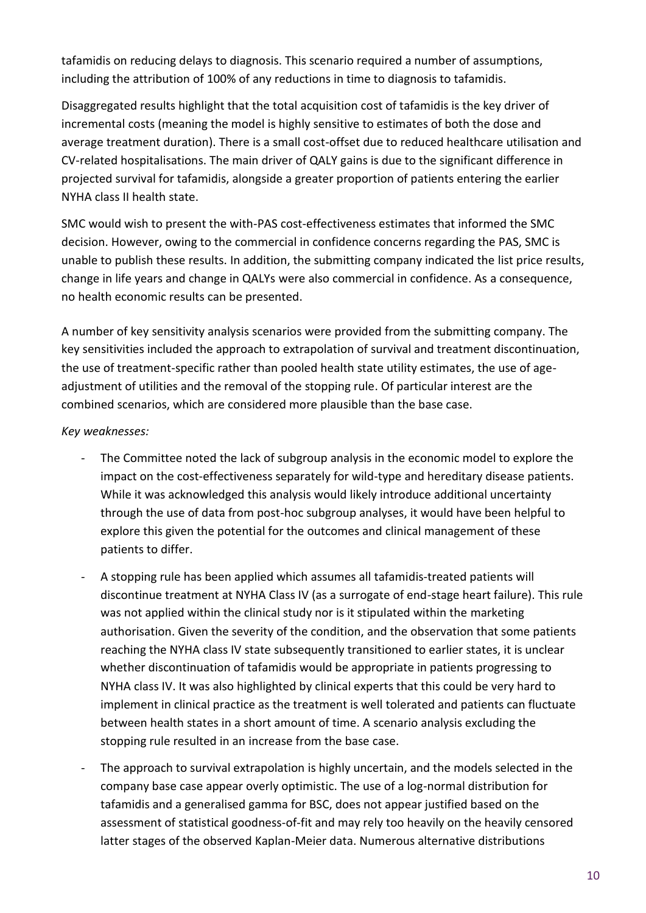tafamidis on reducing delays to diagnosis. This scenario required a number of assumptions, including the attribution of 100% of any reductions in time to diagnosis to tafamidis.

Disaggregated results highlight that the total acquisition cost of tafamidis is the key driver of incremental costs (meaning the model is highly sensitive to estimates of both the dose and average treatment duration). There is a small cost-offset due to reduced healthcare utilisation and CV-related hospitalisations. The main driver of QALY gains is due to the significant difference in projected survival for tafamidis, alongside a greater proportion of patients entering the earlier NYHA class II health state.

SMC would wish to present the with-PAS cost-effectiveness estimates that informed the SMC decision. However, owing to the commercial in confidence concerns regarding the PAS, SMC is unable to publish these results. In addition, the submitting company indicated the list price results, change in life years and change in QALYs were also commercial in confidence. As a consequence, no health economic results can be presented.

A number of key sensitivity analysis scenarios were provided from the submitting company. The key sensitivities included the approach to extrapolation of survival and treatment discontinuation, the use of treatment-specific rather than pooled health state utility estimates, the use of ageadjustment of utilities and the removal of the stopping rule. Of particular interest are the combined scenarios, which are considered more plausible than the base case.

#### *Key weaknesses:*

- The Committee noted the lack of subgroup analysis in the economic model to explore the impact on the cost-effectiveness separately for wild-type and hereditary disease patients. While it was acknowledged this analysis would likely introduce additional uncertainty through the use of data from post-hoc subgroup analyses, it would have been helpful to explore this given the potential for the outcomes and clinical management of these patients to differ.
- A stopping rule has been applied which assumes all tafamidis-treated patients will discontinue treatment at NYHA Class IV (as a surrogate of end-stage heart failure). This rule was not applied within the clinical study nor is it stipulated within the marketing authorisation. Given the severity of the condition, and the observation that some patients reaching the NYHA class IV state subsequently transitioned to earlier states, it is unclear whether discontinuation of tafamidis would be appropriate in patients progressing to NYHA class IV. It was also highlighted by clinical experts that this could be very hard to implement in clinical practice as the treatment is well tolerated and patients can fluctuate between health states in a short amount of time. A scenario analysis excluding the stopping rule resulted in an increase from the base case.
- The approach to survival extrapolation is highly uncertain, and the models selected in the company base case appear overly optimistic. The use of a log-normal distribution for tafamidis and a generalised gamma for BSC, does not appear justified based on the assessment of statistical goodness-of-fit and may rely too heavily on the heavily censored latter stages of the observed Kaplan-Meier data. Numerous alternative distributions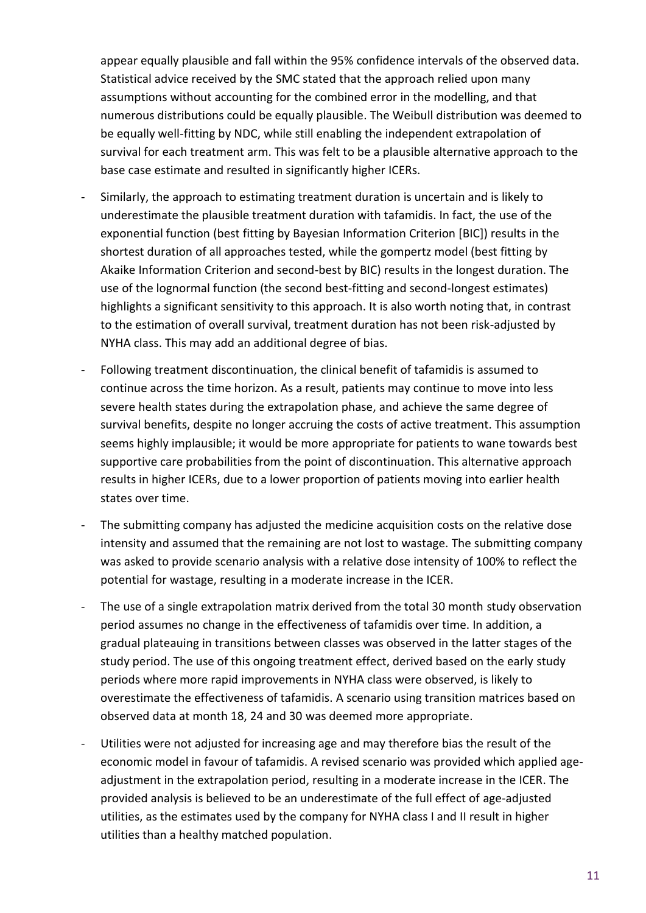appear equally plausible and fall within the 95% confidence intervals of the observed data. Statistical advice received by the SMC stated that the approach relied upon many assumptions without accounting for the combined error in the modelling, and that numerous distributions could be equally plausible. The Weibull distribution was deemed to be equally well-fitting by NDC, while still enabling the independent extrapolation of survival for each treatment arm. This was felt to be a plausible alternative approach to the base case estimate and resulted in significantly higher ICERs.

- Similarly, the approach to estimating treatment duration is uncertain and is likely to underestimate the plausible treatment duration with tafamidis. In fact, the use of the exponential function (best fitting by Bayesian Information Criterion [BIC]) results in the shortest duration of all approaches tested, while the gompertz model (best fitting by Akaike Information Criterion and second-best by BIC) results in the longest duration. The use of the lognormal function (the second best-fitting and second-longest estimates) highlights a significant sensitivity to this approach. It is also worth noting that, in contrast to the estimation of overall survival, treatment duration has not been risk-adjusted by NYHA class. This may add an additional degree of bias.
- Following treatment discontinuation, the clinical benefit of tafamidis is assumed to continue across the time horizon. As a result, patients may continue to move into less severe health states during the extrapolation phase, and achieve the same degree of survival benefits, despite no longer accruing the costs of active treatment. This assumption seems highly implausible; it would be more appropriate for patients to wane towards best supportive care probabilities from the point of discontinuation. This alternative approach results in higher ICERs, due to a lower proportion of patients moving into earlier health states over time.
- The submitting company has adjusted the medicine acquisition costs on the relative dose intensity and assumed that the remaining are not lost to wastage. The submitting company was asked to provide scenario analysis with a relative dose intensity of 100% to reflect the potential for wastage, resulting in a moderate increase in the ICER.
- The use of a single extrapolation matrix derived from the total 30 month study observation period assumes no change in the effectiveness of tafamidis over time. In addition, a gradual plateauing in transitions between classes was observed in the latter stages of the study period. The use of this ongoing treatment effect, derived based on the early study periods where more rapid improvements in NYHA class were observed, is likely to overestimate the effectiveness of tafamidis. A scenario using transition matrices based on observed data at month 18, 24 and 30 was deemed more appropriate.
- Utilities were not adjusted for increasing age and may therefore bias the result of the economic model in favour of tafamidis. A revised scenario was provided which applied ageadjustment in the extrapolation period, resulting in a moderate increase in the ICER. The provided analysis is believed to be an underestimate of the full effect of age-adjusted utilities, as the estimates used by the company for NYHA class I and II result in higher utilities than a healthy matched population.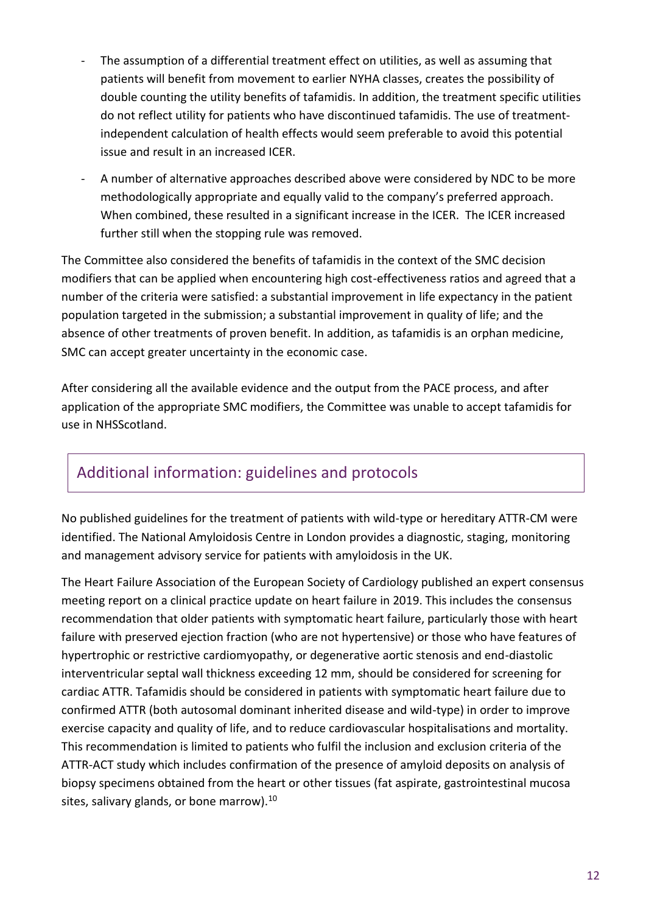- The assumption of a differential treatment effect on utilities, as well as assuming that patients will benefit from movement to earlier NYHA classes, creates the possibility of double counting the utility benefits of tafamidis. In addition, the treatment specific utilities do not reflect utility for patients who have discontinued tafamidis. The use of treatmentindependent calculation of health effects would seem preferable to avoid this potential issue and result in an increased ICER.
- A number of alternative approaches described above were considered by NDC to be more methodologically appropriate and equally valid to the company's preferred approach. When combined, these resulted in a significant increase in the ICER. The ICER increased further still when the stopping rule was removed.

The Committee also considered the benefits of tafamidis in the context of the SMC decision modifiers that can be applied when encountering high cost-effectiveness ratios and agreed that a number of the criteria were satisfied: a substantial improvement in life expectancy in the patient population targeted in the submission; a substantial improvement in quality of life; and the absence of other treatments of proven benefit. In addition, as tafamidis is an orphan medicine, SMC can accept greater uncertainty in the economic case.

After considering all the available evidence and the output from the PACE process, and after application of the appropriate SMC modifiers, the Committee was unable to accept tafamidis for use in NHSScotland.

# Additional information: guidelines and protocols

No published guidelines for the treatment of patients with wild-type or hereditary ATTR-CM were identified. The National Amyloidosis Centre in London provides a diagnostic, staging, monitoring and management advisory service for patients with amyloidosis in the UK.

The Heart Failure Association of the European Society of Cardiology published an expert consensus meeting report on a clinical practice update on heart failure in 2019. This includes the consensus recommendation that older patients with symptomatic heart failure, particularly those with heart failure with preserved ejection fraction (who are not hypertensive) or those who have features of hypertrophic or restrictive cardiomyopathy, or degenerative aortic stenosis and end-diastolic interventricular septal wall thickness exceeding 12 mm, should be considered for screening for cardiac ATTR. Tafamidis should be considered in patients with symptomatic heart failure due to confirmed ATTR (both autosomal dominant inherited disease and wild-type) in order to improve exercise capacity and quality of life, and to reduce cardiovascular hospitalisations and mortality. This recommendation is limited to patients who fulfil the inclusion and exclusion criteria of the ATTR-ACT study which includes confirmation of the presence of amyloid deposits on analysis of biopsy specimens obtained from the heart or other tissues (fat aspirate, gastrointestinal mucosa sites, salivary glands, or bone marrow). $^{10}$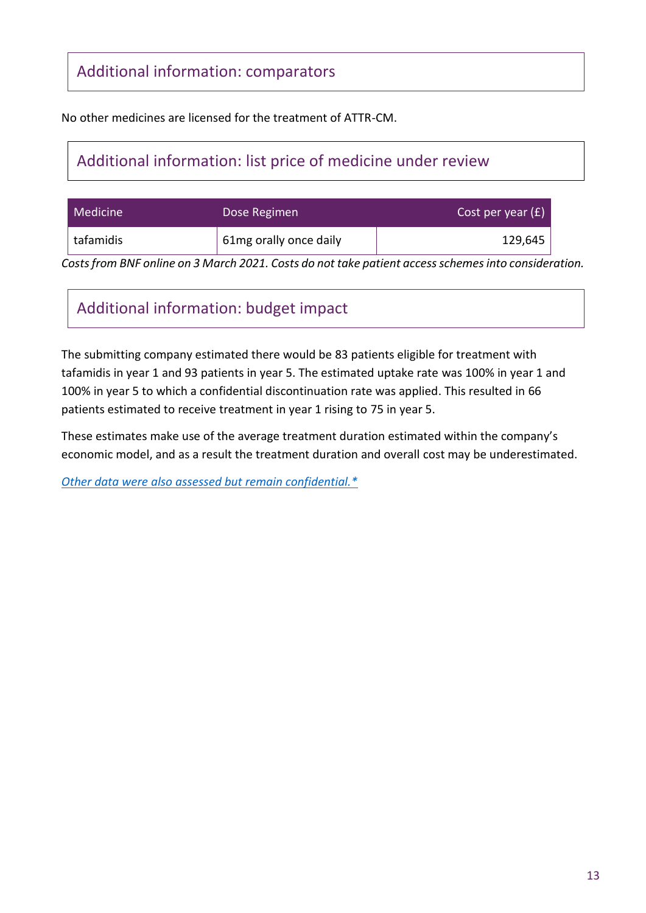# Additional information: comparators

No other medicines are licensed for the treatment of ATTR-CM.

# Additional information: list price of medicine under review

| Medicine  | Dose Regimen           | Cost per year $(E)$ |
|-----------|------------------------|---------------------|
| tafamidis | 61mg orally once daily | 129,645             |

*Costs from BNF online on 3 March 2021. Costs do not take patient access schemes into consideration.*

# Additional information: budget impact

The submitting company estimated there would be 83 patients eligible for treatment with tafamidis in year 1 and 93 patients in year 5. The estimated uptake rate was 100% in year 1 and 100% in year 5 to which a confidential discontinuation rate was applied. This resulted in 66 patients estimated to receive treatment in year 1 rising to 75 in year 5.

These estimates make use of the average treatment duration estimated within the company's economic model, and as a result the treatment duration and overall cost may be underestimated.

*[Other data were also assessed but remain confidential.\\*](https://www.scottishmedicines.org.uk/media/3572/20180710-release-of-company-data.pdf)*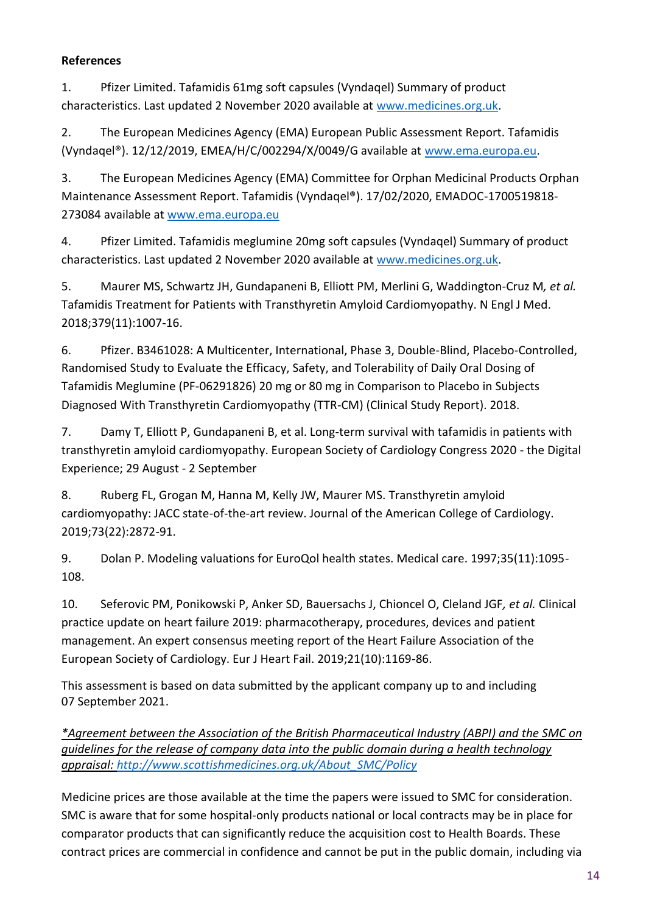#### **References**

1. Pfizer Limited. Tafamidis 61mg soft capsules (Vyndaqel) Summary of product characteristics. Last updated 2 November 2020 available at [www.medicines.org.uk.](file:///C:/Users/merylh/AppData/Local/Microsoft/Windows/INetCache/Content.Outlook/GSGBJTL4/www.medicines.org.uk)

2. The European Medicines Agency (EMA) European Public Assessment Report. Tafamidis (Vyndaqel®). 12/12/2019, EMEA/H/C/002294/X/0049/G available at [www.ema.europa.eu.](file:///C:/Users/merylh/AppData/Local/Microsoft/Windows/INetCache/Content.Outlook/GSGBJTL4/www.ema.europa.eu)

3. The European Medicines Agency (EMA) Committee for Orphan Medicinal Products Orphan Maintenance Assessment Report. Tafamidis (Vyndaqel®). 17/02/2020, EMADOC-1700519818- 273084 available at [www.ema.europa.eu](file:///C:/Users/merylh/AppData/Local/Microsoft/Windows/INetCache/Content.Outlook/GSGBJTL4/www.ema.europa.eu) 

4. Pfizer Limited. Tafamidis meglumine 20mg soft capsules (Vyndaqel) Summary of product characteristics. Last updated 2 November 2020 available at [www.medicines.org.uk.](file:///C:/Users/merylh/AppData/Local/Microsoft/Windows/INetCache/Content.Outlook/GSGBJTL4/www.medicines.org.uk)

5. Maurer MS, Schwartz JH, Gundapaneni B, Elliott PM, Merlini G, Waddington-Cruz M*, et al.* Tafamidis Treatment for Patients with Transthyretin Amyloid Cardiomyopathy. N Engl J Med. 2018;379(11):1007-16.

6. Pfizer. B3461028: A Multicenter, International, Phase 3, Double-Blind, Placebo-Controlled, Randomised Study to Evaluate the Efficacy, Safety, and Tolerability of Daily Oral Dosing of Tafamidis Meglumine (PF-06291826) 20 mg or 80 mg in Comparison to Placebo in Subjects Diagnosed With Transthyretin Cardiomyopathy (TTR-CM) (Clinical Study Report). 2018.

7. Damy T, Elliott P, Gundapaneni B, et al. Long-term survival with tafamidis in patients with transthyretin amyloid cardiomyopathy. European Society of Cardiology Congress 2020 - the Digital Experience; 29 August - 2 September

8. Ruberg FL, Grogan M, Hanna M, Kelly JW, Maurer MS. Transthyretin amyloid cardiomyopathy: JACC state-of-the-art review. Journal of the American College of Cardiology. 2019;73(22):2872-91.

9. Dolan P. Modeling valuations for EuroQol health states. Medical care. 1997;35(11):1095- 108.

10. Seferovic PM, Ponikowski P, Anker SD, Bauersachs J, Chioncel O, Cleland JGF*, et al.* Clinical practice update on heart failure 2019: pharmacotherapy, procedures, devices and patient management. An expert consensus meeting report of the Heart Failure Association of the European Society of Cardiology. Eur J Heart Fail. 2019;21(10):1169-86.

This assessment is based on data submitted by the applicant company up to and including 07 September 2021.

*\*Agreement between the Association of the British Pharmaceutical Industry (ABPI) and the SMC on guidelines for the release of company data into the public domain during a health technology appraisal: [http://www.scottishmedicines.org.uk/About\\_SMC/Policy](http://www.scottishmedicines.org.uk/About_SMC/Policy)*

Medicine prices are those available at the time the papers were issued to SMC for consideration. SMC is aware that for some hospital-only products national or local contracts may be in place for comparator products that can significantly reduce the acquisition cost to Health Boards. These contract prices are commercial in confidence and cannot be put in the public domain, including via